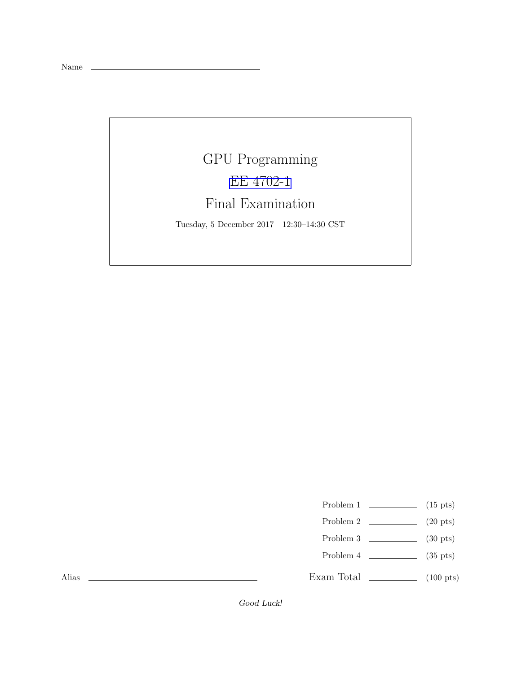Name \_\_

## GPU Programming [EE 4702-1](http://www.ece.lsu.edu/koppel/gpup/) Final Examination

Tuesday, 5 December 2017 12:30–14:30 CST

- Problem 1  $\qquad \qquad$  (15 pts)
- Problem 2  $\qquad \qquad$  (20 pts)
- Problem 3  $\qquad \qquad$  (30 pts)
- Problem  $4$  (35 pts)
- Exam Total \_\_\_\_\_\_\_\_\_\_\_\_\_ (100 pts)

Alias

Good Luck!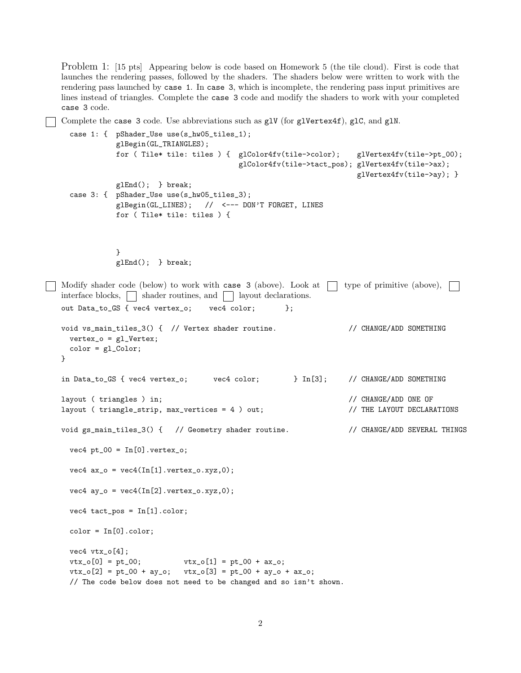Problem 1: [15 pts] Appearing below is code based on Homework 5 (the tile cloud). First is code that launches the rendering passes, followed by the shaders. The shaders below were written to work with the rendering pass launched by case 1. In case 3, which is incomplete, the rendering pass input primitives are lines instead of triangles. Complete the case 3 code and modify the shaders to work with your completed case 3 code.

Complete the case 3 code. Use abbreviations such as  $g1V$  (for  $g1Vert(x, d)$ ,  $g1C$ , and  $g1N$ .

```
case 1: { pShader_Use use(s_hw05_tiles_1);
             glBegin(GL_TRIANGLES);
             for ( Tile* tile: tiles ) { glColor4fv(tile->color); glVertex4fv(tile->pt_00);
                                       glColor4fv(tile->tact_pos); glVertex4fv(tile->ax);
                                                                 glVertex4fv(tile->ay); }
             glEnd(); } break;
   case 3: { pShader_Use use(s_hw05_tiles_3);
             glBegin(GL_LINES); // <--- DON'T FORGET, LINES
             for ( Tile* tile: tiles ) {
             }
             glEnd(); } break;
Modify shader code (below) to work with case 3 (above). Look at \Box type of primitive (above), \Boxinterface blocks, \Box shader routines, and \Box layout declarations.
 out Data_to_GS { vec4 vertex_o; vec4 color; };
 void vs_main_tiles_3() { // Vertex shader routine. // CHANGE/ADD SOMETHING
   vertex_0 = g1_Vertex;color = gl_Color;
 }
 in Data_to_GS { vec4 vertex_o; vec4 color; } In[3]; // CHANGE/ADD SOMETHING
 layout ( triangles ) in; // CHANGE/ADD ONE OF
 layout ( triangle_strip, max_vertices = 4 ) out; // THE LAYOUT DECLARATIONS
 void gs_main_tiles_3() { // Geometry shader routine. // CHANGE/ADD SEVERAL THINGS
   vec4 pt_00 = In[0].vertex_0;vec4 ax_0 = vec4(In[1].vertex_0.xyz, 0);vec4 ay_o = vec4(In[2].vertex_o.xyz,0);
   vec4 tact_pos = In[1].color;
   color = In[0].colorvec4 vtx_o[4];
   vtx_0[0] = pt_00; vtx_0[1] = pt_00 + ax_0;vtx_0[2] = pt_00 + ay_0; vtx_0[3] = pt_00 + ay_0;
   // The code below does not need to be changed and so isn't shown.
```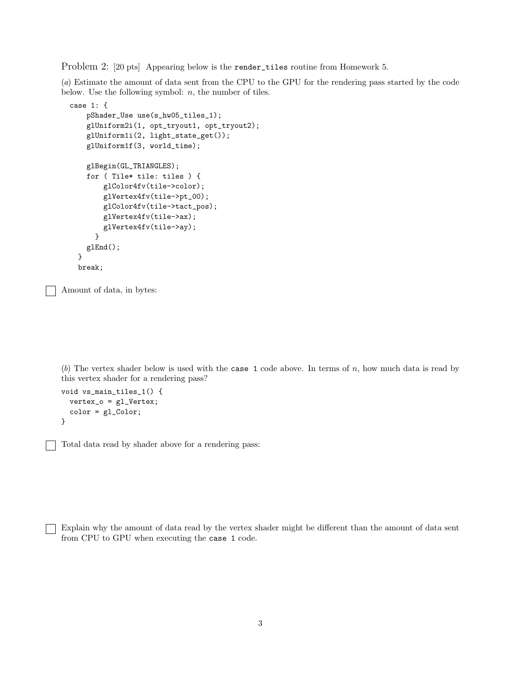Problem 2: [20 pts] Appearing below is the render\_tiles routine from Homework 5.

(*a*) Estimate the amount of data sent from the CPU to the GPU for the rendering pass started by the code below. Use the following symbol:  $n$ , the number of tiles.

```
case 1: {
   pShader_Use use(s_hw05_tiles_1);
    glUniform2i(1, opt_tryout1, opt_tryout2);
    glUniform1i(2, light_state_get());
   glUniform1f(3, world_time);
    glBegin(GL_TRIANGLES);
   for ( Tile* tile: tiles ) {
       glColor4fv(tile->color);
       glVertex4fv(tile->pt_00);
       glColor4fv(tile->tact_pos);
       glVertex4fv(tile->ax);
       glVertex4fv(tile->ay);
     }
   glEnd();
  }
  break;
```
Amount of data, in bytes:

(b) The vertex shader below is used with the case 1 code above. In terms of  $n$ , how much data is read by this vertex shader for a rendering pass?

```
void vs_main_tiles_1() {
  vertex_o = gl_Vertex;
  color = gl_Color;
}
```
Total data read by shader above for a rendering pass:

Explain why the amount of data read by the vertex shader might be different than the amount of data sent from CPU to GPU when executing the case 1 code.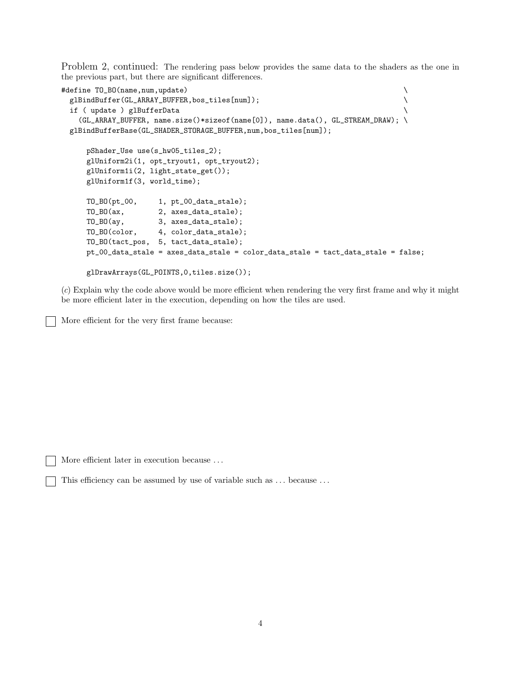Problem 2, continued: The rendering pass below provides the same data to the shaders as the one in the previous part, but there are significant differences.

```
#define TO_BO(name,num,update) \
 glBindBuffer(GL_ARRAY_BUFFER,bos_tiles[num]);
 if ( update ) glBufferData \
   (GL_ARRAY_BUFFER, name.size()*sizeof(name[0]), name.data(), GL_STREAM_DRAW); \
 glBindBufferBase(GL_SHADER_STORAGE_BUFFER,num,bos_tiles[num]);
    pShader_Use use(s_hw05_tiles_2);
    glUniform2i(1, opt_tryout1, opt_tryout2);
    glUniform1i(2, light_state_get());
    glUniform1f(3, world_time);
    TO_BO(pt_00, 1, pt_00_data_stale);
    TO_BO(ax, 2, axes_data_stale);
    TO_BO(ay, 3, axes_data_stale);
    TO_BO(color, 4, color_data_stale);
    TO_BO(tact_pos, 5, tact_data_stale);
    pt_00_data_stale = axes_data_stale = color_data_stale = tact_data_stale = false;
    glDrawArrays(GL_POINTS,0,tiles.size());
```
(*c*) Explain why the code above would be more efficient when rendering the very first frame and why it might be more efficient later in the execution, depending on how the tiles are used.

More efficient for the very first frame because:

More efficient later in execution because ...

This efficiency can be assumed by use of variable such as ... because ...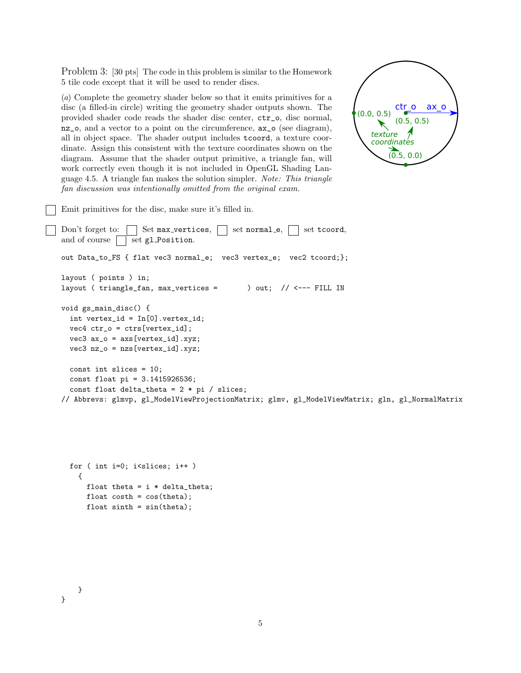Problem 3: [30 pts] The code in this problem is similar to the Homework 5 tile code except that it will be used to render discs.

(*a*) Complete the geometry shader below so that it emits primitives for a disc (a filled-in circle) writing the geometry shader outputs shown. The provided shader code reads the shader disc center, ctr\_o, disc normal, nz\_o, and a vector to a point on the circumference, ax\_o (see diagram), all in object space. The shader output includes tcoord, a texture coordinate. Assign this consistent with the texture coordinates shown on the diagram. Assume that the shader output primitive, a triangle fan, will work correctly even though it is not included in OpenGL Shading Language 4.5. A triangle fan makes the solution simpler. *Note: This triangle fan discussion was intentionally omitted from the original exam.*



Emit primitives for the disc, make sure it's filled in.

```
Don't forget to: \Box Set max vertices, \Box set normal e, \Box set tcoord,
and of course \Box set gl Position.
out Data_to_FS { flat vec3 normal_e; vec3 vertex_e; vec2 tcoord;};
layout ( points ) in;
layout ( triangle_fan, max_vertices = ) out; // <--- FILL IN
void gs_main_disc() {
  int vertex_id = In[0].vertex_id;
  vec4 ctr_0 = ctrs[vertex_id];vec3 ax_o = axs[vertex_id].xyz;
  vec3 nz_o = nzs[vertex_id].xyz;
  const int slices = 10;
  const float pi = 3.1415926536;
  const float delta_theta = 2 * pi / slices;// Abbrevs: glmvp, gl_ModelViewProjectionMatrix; glmv, gl_ModelViewMatrix; gln, gl_NormalMatrix
```

```
for ( int i=0; i<slices; i++ )
  {
    float theta = i * delta_{theta};
    float costh = cos(theta);float sinth = sin(theta);
```
}

}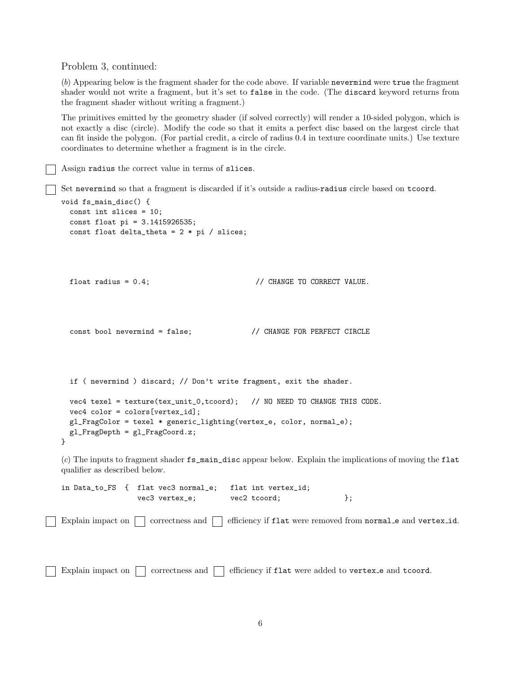Problem 3, continued:

(*b*) Appearing below is the fragment shader for the code above. If variable nevermind were true the fragment shader would not write a fragment, but it's set to false in the code. (The discard keyword returns from the fragment shader without writing a fragment.)

The primitives emitted by the geometry shader (if solved correctly) will render a 10-sided polygon, which is not exactly a disc (circle). Modify the code so that it emits a perfect disc based on the largest circle that can fit inside the polygon. (For partial credit, a circle of radius 0.4 in texture coordinate units.) Use texture coordinates to determine whether a fragment is in the circle.

Assign radius the correct value in terms of slices.

Set nevermind so that a fragment is discarded if it's outside a radius-radius circle based on tcoord.

```
void fs_main_disc() {
 const int slices = 10;
  const float pi = 3.1415926535;
  const float delta_theta = 2 * pi / silices;float radius = 0.4; // CHANGE TO CORRECT VALUE.
  const bool nevermind = false; // CHANGE FOR PERFECT CIRCLE
  if ( nevermind ) discard; // Don't write fragment, exit the shader.
 vec4 texel = texture(tex_unit_0,tcoord); // NO NEED TO CHANGE THIS CODE.
  vec4 color = colors[vertex_id];
 gl_FragColor = texel * generic_lighting(vertex_e, color, normal_e);
 gl_FragDepth = gl_FragCoord.z;
}
(c) The inputs to fragment shader fs_main_disc appear below. Explain the implications of moving the flat
qualifier as described below.
in Data_to_FS { flat vec3 normal_e; flat int vertex_id;
                 vec3 vertex_e; vec2 tcoord; \};
```
Explain impact on  $\Box$  correctness and  $\Box$  efficiency if flat were removed from normal e and vertex id.

Explain impact on  $\Box$  correctness and  $\Box$  efficiency if flat were added to vertex e and tcoord.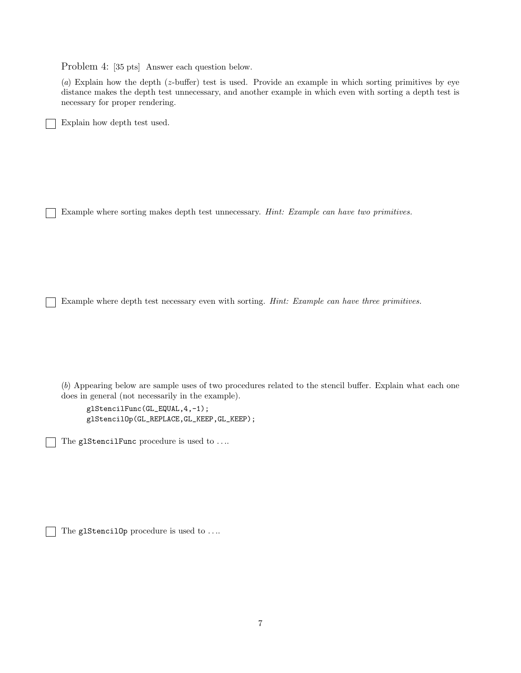Problem 4: [35 pts] Answer each question below.

(*a*) Explain how the depth (z-buffer) test is used. Provide an example in which sorting primitives by eye distance makes the depth test unnecessary, and another example in which even with sorting a depth test is necessary for proper rendering.

Explain how depth test used.

Example where sorting makes depth test unnecessary. *Hint: Example can have two primitives.*

Example where depth test necessary even with sorting. *Hint: Example can have three primitives.*

(*b*) Appearing below are sample uses of two procedures related to the stencil buffer. Explain what each one does in general (not necessarily in the example).

glStencilFunc(GL\_EQUAL,4,-1); glStencilOp(GL\_REPLACE,GL\_KEEP,GL\_KEEP);

The glStencilFunc procedure is used to ....

The glStencilOp procedure is used to ....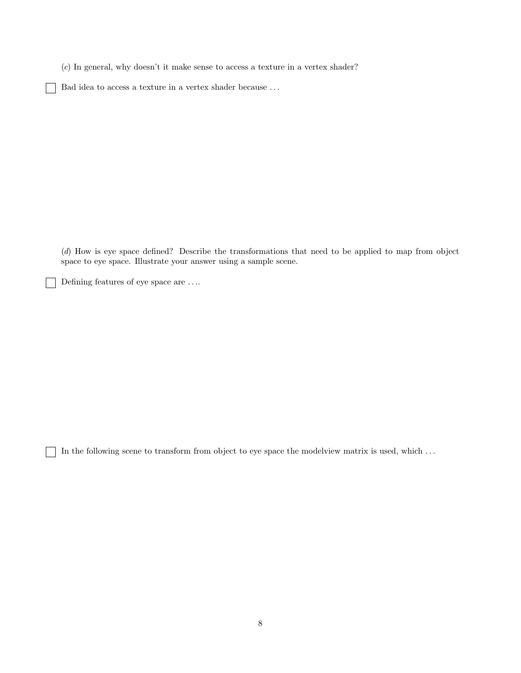(*c*) In general, why doesn't it make sense to access a texture in a vertex shader?

Bad idea to access a texture in a vertex shader because . . .

(*d*) How is eye space defined? Describe the transformations that need to be applied to map from object space to eye space. Illustrate your answer using a sample scene.

Defining features of eye space are . . ..

 $\blacksquare$ 

In the following scene to transform from object to eye space the modelview matrix is used, which . . .